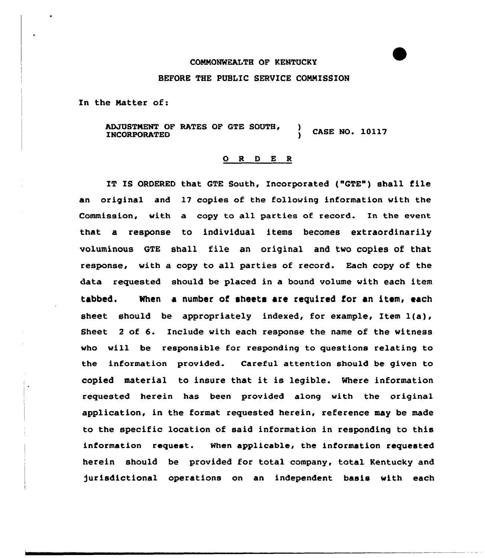## CONNONWZALTH OF KENTUCKY

## BEFORE THE PUBLIC SERUICE CONNISSION

In the Natter of:

ADJUSTMENT OF RATES OF GTE SOUTH,<br>INCORPORATED ) CASE NO. 10117

## O R D E R

IT IS ORDERED that GTE South, Incorporated ("GTE") shall file an original and 17 copies of the following information with the Commission, with a copy to all parties of record. In the event that a response to individual items becomes extraordinarily voluminous GTE shall file an original and two copies of that response, with a copy to all parties of record. Each copy of the data requested should be placed in a bound volume with each item tabbed. When a number of sheets are required for an item, each sheet should be appropriately indexed, for example, Item 1(a), Sheet <sup>2</sup> of 6. Include with each response the name of the witness who will be responsible for responding to questions relating to the information provided. Careful attention should be given to copied material to insure that it is legible. Where information requested herein has been provided along with the original application, in the format requested herein, reference may be made to the specific location of said information in responding to this information request. When applicable, the information requested herein should be provided for total company, total Kentucky and jurisdictional operations on an independent basis with each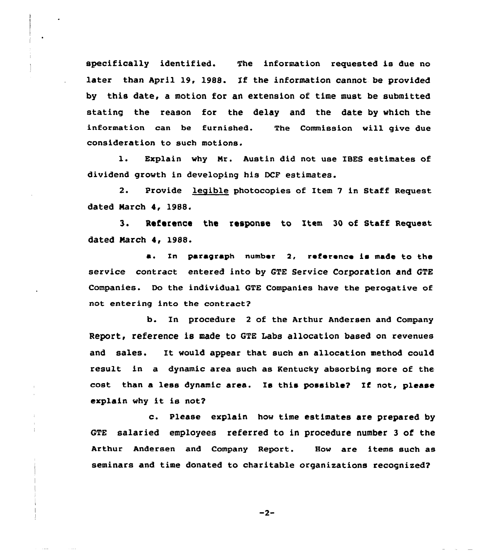specifically identified. The information requested is due no later than April 19, 1988. If the information cannot be provided by this date, a motion for an extension of time must be submitted stating the reason for the delay and the date by which the information can be furnished. The Commission will give due consideration to such motions.

l. Explain why Nr. Austin did not use IBES estimates of dividend growth in developing his DCF estimates.

2. Provide legible photocopies of Item 7 in Staff Request dated March 4, 1988.

3. Reference the response to Item <sup>30</sup> of Staff Request dated March 4, 1988.

a. In paragraph number 2, reference is made to the service contract entered into by GTE Service Corporation and GTE Companies. Do the individual GTE Companies have the perogative of not entering into the contract?

b. In procedure <sup>2</sup> of the Arthur Andersen and Company Report, reference is made to GTE Labs allocation based on revenues and sales. It would appear that such an allocation method could result in a dynamic area such as Kentucky absorbing more of the cost than a less dynamic area. Is this possible? If not, please explain why it is not?

c. Please explain how time estimates are prepared by GTE salaried employees referred to in procedure number 3 of the Arthur Andersen and Company Report. How are items such as seminars and time donated to charitable organizations recognised?

 $-2-$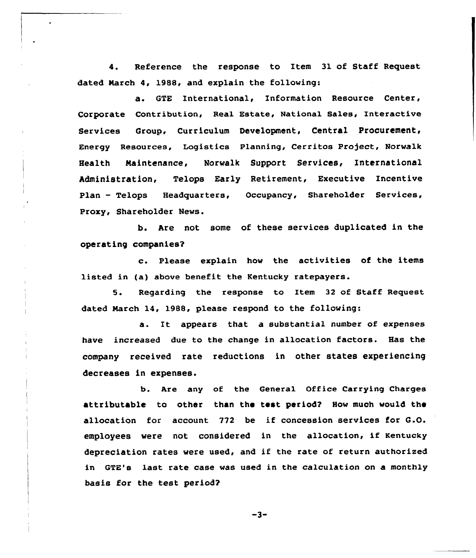4. Reference the response to Item 31 of Staff Request dated March 4, 1988, and explain the following:

a. GTE International, Information Resource Center, Corporate Contribution, Real Estate, National Sales, Interactive Services Group, Curriculum Development, Central Procurement, Energy Resources, Logistics Planning, Cerritos Project, Norwalk Health Naintenance, Norwalk Support Services, International Administration, Telops Early Retirement, Executive Incentive Plan - Telops Headquarters, Occupancy, Shareholder Services, Proxy, Shareholder News.

b. Are not some of these services duplicated in the operating companies?

c. Please explain how the activities of the items listed in (a) above benefit the Kentucky ratepayers.

5. Regarding the response to Item <sup>32</sup> of Staff Request dated March 14, 1988, please respond to the following:

a. It appears that a substantial number of expenses have increased due to the change in allocation factors. Has the company received rate reductions in other states experiencing decreases in expenses.

b. Are any of the General Office Carrying Charges attributable to other than the test period? Hov much vould the allocation for account <sup>772</sup> be if concession services for G.O. employees vere not considered in the allocation, if Kentucky depreciation rates vere used, and if the rate of return authorized in GTE's last rate case was used in the calculation on a monthly basis for the test period?

 $-3-$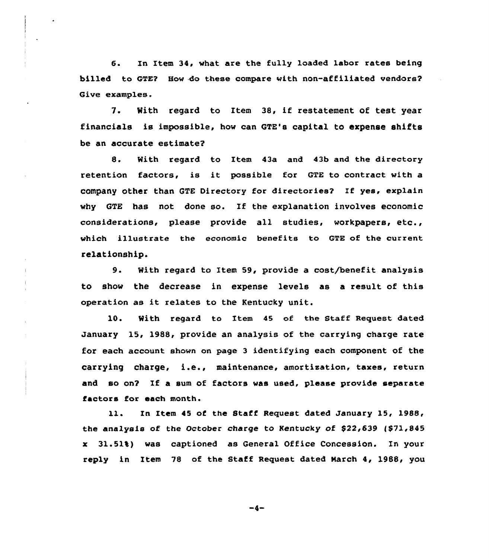6. In Item 34, what are the fully loaded labor rates being billed to GTE? How do these compare with non-affiliated vendors? Give examples.

7. With regard to Item 38, if restatement of test year financials is impossible, how can GTE's capital to expense shifts be an accurate estimate?

8. With regard to Item 43a and 43b and the directory retention factors, is it possible for GTE to contract with a COmpany Other than GTE Directory for directoriee? If yes, exp1ain why GTE has not done so. If the explanation involves economic considerations, please provide all studies, workpapers, etc., which illustrate the economic benefits to GTE of the current relationship.

9. With regard to Item 59, provide <sup>a</sup> cost/benefit analysis to show the decrease in expense levels as a result of this operation as it relates to the Kentucky unit.

10. With regard to Item 45 of the Staff Request dated January 15, 1988, provide an analysis of the carrying charge rate for each account shown on page 3 identifying each component of the carrying charge, i.e., maintenance, amortisation, taxes, return and so on? If a sum of factors was used, please provide separate factors for each month.

ll. Zn Item <sup>45</sup> of the Staff Request dated January 15, 1988, the analysis of the October charge to Kentucky of \$22,639 (\$71,845 x 31.51%) was captioned as General Office Concession. In your reply in Item 78 of the Staff Request dated March 4, 1988, you

-4-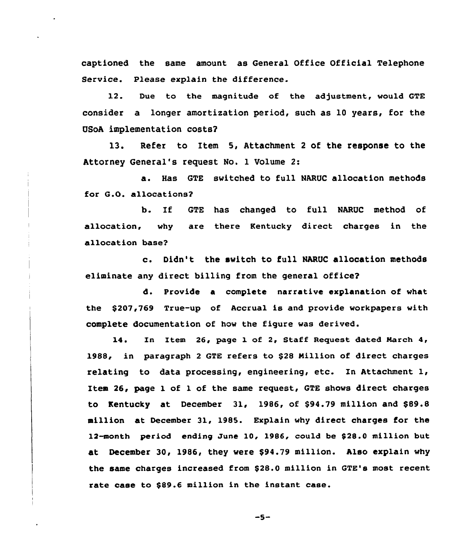captioned the same amount as General Office Official Telephone Service. Please explain the difference.

12. Due to the magnitude of the adjustment, would GTE consider a longer amortization period, such as l0 years, for the USoA implementation costs?

13. Refer to Item 5, Attachment <sup>2</sup> of the response to the Attorney General's request No. 1 Volume 2:

a. Has GTE switched to full NARUC allocation methods for G.O. allocations?

b. If GTE has changed to full NARUC method of allocation, why are there Kentucky direct charges in the allocation base?

c. Didn't the switch to full NARUC allocation methods eliminate any direct billing from the general office?

d. Provide a complete narrative explanation of what the \$207,769 True-up of Accrual is and provide workpapers with complete documentation of how the figure was derived.

14. In Item 26, page 1 of 2, Staff Request dated March 4, 1988, in paragraph <sup>2</sup> GTE refers to \$<sup>28</sup> Million of direct charges relating to data processing, engineering, etc. In Attachment 1, Item 26, page 1 of 1 of the same request, GTE shows direct charges to Kentucky at December  $31$ , 1986, of \$94.79 million and \$89.8 million at December 31, 1985. Explain why direct charges for the 12-month period ending June 10, 1986, could be \$28.0 million but at December 30, 1986, they were \$94.79 million. Also explain why the same charges increased from \$28.0 million in GTE's most recent rate case to \$89.6 million in the instant case.

 $-5-$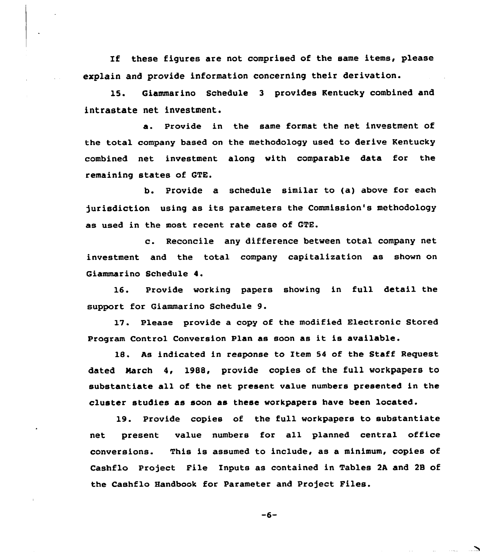If these figures are not comprised of the same items, please explain and provide information concerning their derivation.

15. Giammarino Schedule <sup>3</sup> provides Kentucky combined and intrastate net investment.

a. Provide in the same format the net investment of the total company based on the methodology used to derive Kentucky combined net investment along with comparable data for the remaining states of GTE.

b. Provide a schedule similar to (a) above for each jurisdiction using as its parameters the Commission's methodology as used in the most recent rate case of GTE.

c. Reconcile any difference between total company net investment and the total company capitalization as shown on Giammarino Schedule 4.

16. Provide working papers showing in full detail the support for Giammarino Schedule 9.

17. Please provide a copy of the modified Electronic Stored Program Control Conversion Plan as soon as it is available.

18. As indicated in response to Item <sup>54</sup> of the Staff Request dated March 4, 1988, provide copies of the full workpapers to substantiate all of the net present value numbers presented in the cluster studies as soon as these workpapers have been located.

19. Provide copies of the full workpapers to substantiate net present value numbers for all planned central office conversions. This is assumed to include, as a minimum, copies of Cashflo Project File Inputs as contained in Tables 2A and 28 of the Cashflo Handbook for Parameter and Project Files.

 $-6-$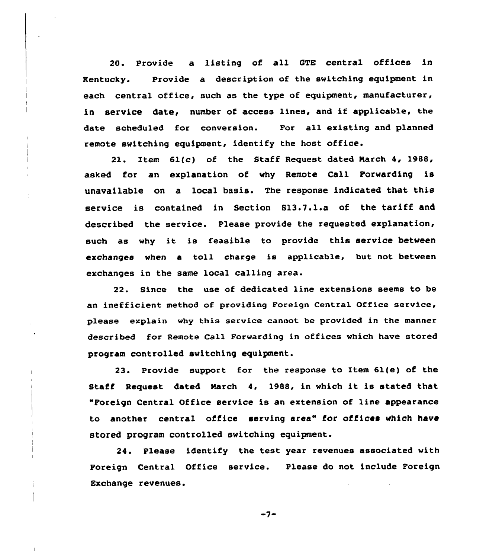20. Provide a listing of all GTE central offices in Kentucky. Provide a description of the switching equipment in each central office, such as the type of equipment, manufacturer, in service date, number of access lines, and if applicable, the date scheduled for conversion. For all existing and planned remote switching equipment, identify the host office.

21. Item 61(c) of the Staff Request dated Narch 4, 1988, asked for an explanation of why Remote Call Forwarding is unavailable on a local basis. The response indicated that this service is contained in Section 813.7.l.a of the tariff and described the service. Please provide the requested explanation, such as why it is feasible to provide this service between exchanges when a toll charge is applicable, but not between exchanges in the same local calling area.

22. Since the use of dedicated line extensions seems to be an inefficient method of providing Foreign Central Office service, please explain why this service cannot be provided in the manner described for Remote Call Forwarding in offices which have stored program controlled switching equipment.

23. Provide support for the response to Item 61(e) of the Staff Request dated March 4, 1988, in which it is stated that "Foreign Central Office service is an extension of line appearance to another central office serving area" for offices which have stored program controlled switching equipment.

24. Please identify the test year revenues associated with Foreign Central Office service. Please do not include Foreign Exchange revenues.

 $-7-$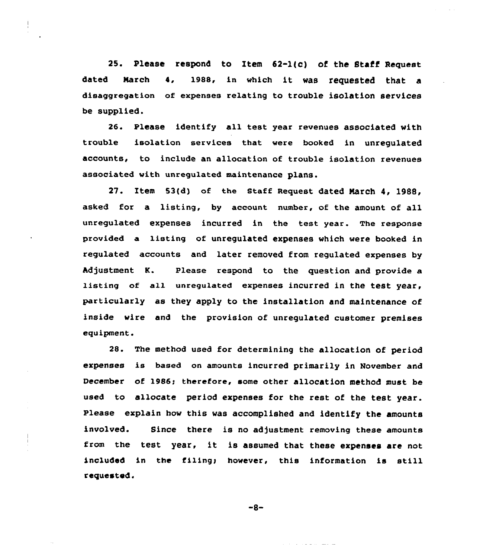25. Please respond to Item 52-l(c} of the Staff Request dated March 4, 1988, in which it was requested that <sup>a</sup> disaggregation of expenses relating to trouble isolation services be supplied.

26. Please identify all test year revenues associated with trouble isolation services that were booked in unregulated accounts, to include an allocation of trouble isolation revenues associated with unregulated maintenance plans.

27. Item 53(d) of the staff Request dated March 4, 1988, asked for a listing, by account number, of the amount of all unregulated expenses incurred in the test year. The response provided a listing of unregulated expenses which were booked in regulated accounts and later removed from regulated expenses by Adjustment K. Please respond to the question and provide a listing of all unregulated expenses incurred in the test year, particularly as they apply to the installation and maintenance of inside wire and the provision of unregulated customer premises equipment.

28. The method used for determining the allocation of period expenses is based on amounts incurred primarily in November and December of 1986; therefore, some other allocation method must be used to allocate period expenses for the rest of the test year. Please explain how this was accomplished and identify the amounts involved. Since there is no adjustment removing these amounts from the test year, it is assumed that these expenses are not included in the filing; however, this information is still requested.

 $-8-$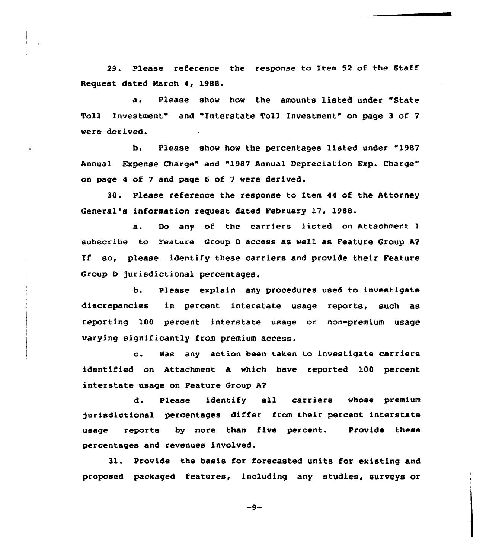29. Please reference the response to Item 52 of the Staff Request dated March 4, 19BB.

a. Please show how the amounts listed under "State Toll Investment" and "Interstate Toll Investment" on page <sup>3</sup> of 7 were derived.

b. Please show how the percentages listed under "1987 Annual Expense Charge" and "1987 Annual Depreciation Exp. Charge" on page 4 of 7 and page 6 of 7 were derived.

30. Please reference the response to Item 44 of the Attorney General's information request dated February 17, 1988.

a. Do any of the carriers listed on Attachment <sup>1</sup> subscribe to Feature Group <sup>D</sup> access as well as Feature Group A? If so, please identify these carriers and provide their Feature Group D jurisdictional percentages.

b. Please explain any procedures used to investigate discrepancies in percent interstate usage reports, such as reporting 100 percent interstate usage or non-premium usage varying significantly from premium access.

c. Has any action been taken to investigate carriers identified on Attachment <sup>A</sup> which have reported 100 percent interstate usage on Feature Group A?

d. Please identify all carriers whose premium jurisdictional percentages differ from their percent interstate usage reports by more than five percent. Provide these percentages and revenues involved.

31. Provide the basis for forecasted units for existing and proposed packaged features, including any studies, surveys or

 $-9-$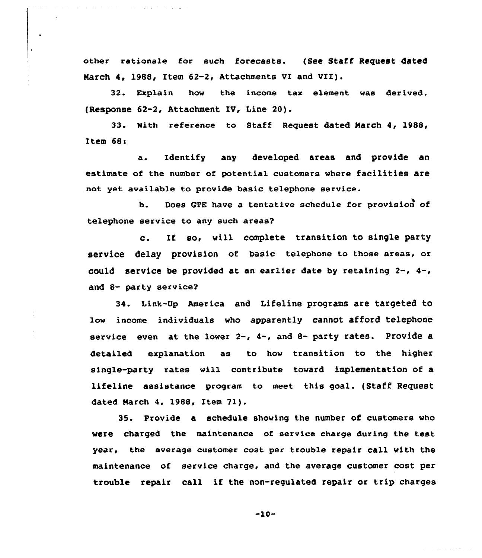other rationale for such forecasts. (See Staff Request dated March 4, 1988, Item 62-2, Attachments VI and VII).

32. Explain hov the income tax element was derived. (Response 62-2, Attachment IV, Line 20).

33. With reference to Staff Request dated March 4, 1988, Item 68:<br>a.

Identify any developed areas and provide an estimate of the number of potential customers vhere facilities are not yet available to provide basic telephone service.

b. Does QTE have a tentative schedule for provision of telephone service to any such areas'.

 $\mathbf{c}$ . If so, vill complete transition to single party service delay provision of basic telephone to those areas, or could service be provided at an earlier date by retaining 2-, 4-, and 8- party service?

34. Link-Up America and Lifeline programs are targeted to lov income individuals vho apparently cannot afford telephone service even at the lower  $2-$ ,  $4-$ , and  $8-$  party rates. Provide a detailed explanation as to how transition to the higher single-party rates vill contribute tovard implementation of a lifeline assistance program to meet this goal. (Staff Request dated March 4, 1988, Item 71).

35. Provide a schedule shoving the number of customers who vere charged the maintenance of service charge during the test year, the average customer cost per trouble repair call vith the maintenance of service charge, and the average customer cost per trouble repair call if the non-regulated repair or trip charges

-10-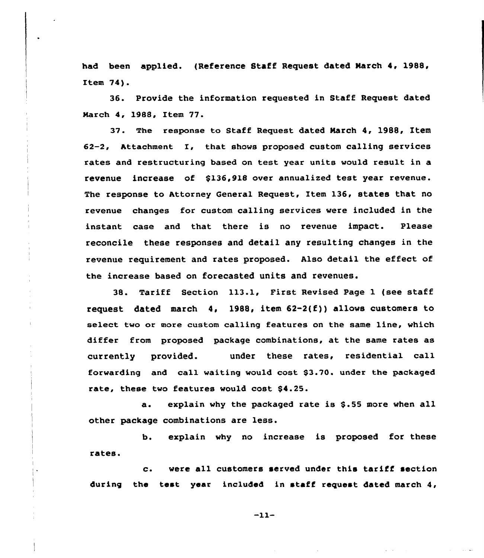had been applied. (Reference Staff Request dated March 4, 1988, Item 74).

36. Provide the information requested in Staff Request dated March 4, 1988, Item 77.

37. The response to Staff Request dated March 4, 1988, Item 62-2, Attachment I, that shows proposed custom calling services rates and restructuring based on test year units would result in a revenue increase of \$136,918 over annualized test year revenue. The response to Attorney General Request, Item 136, states that no revenue changes for custom calling services were included in the instant case and that there is no revenue impact. Please reconcile these responses and detail any resulting changes in the revenue requirement and rates proposed. Also detail the effect of the increase based on forecasted units and revenues.

38. Tariff Section 113.1, First Revised Page 1 {see staff request dated march  $4$ , 1988, item  $62-2(f)$ ) allows customers to select two or more custom calling features on the same line, which differ from proposed package combinations, at the same rates as currently provided. under these rates, residential call forwarding and eall waiting would cost \$3.70. under the packaged rate, these two features would cost \$4.25.

a. explain why the packaged rate is \$.55 more when all other package combinations are less.

b. explain why no increase is proposed for these rates.

c. were all customers served under this tariff section during the test year included in staff request dated march 4,

 $-11-$